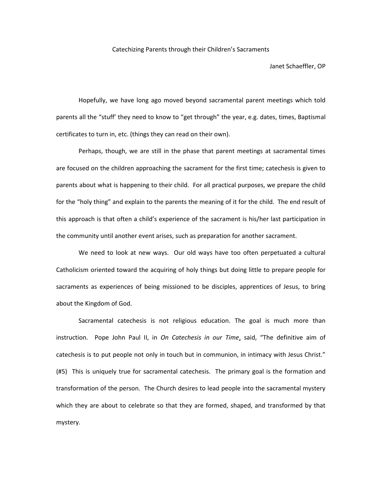Catechizing Parents through their Children's Sacraments

Janet Schaeffler, OP

Hopefully, we have long ago moved beyond sacramental parent meetings which told parents all the "stuff' they need to know to "get through" the year, e.g. dates, times, Baptismal certificates to turn in, etc. (things they can read on their own).

Perhaps, though, we are still in the phase that parent meetings at sacramental times are focused on the children approaching the sacrament for the first time; catechesis is given to parents about what is happening to their child. For all practical purposes, we prepare the child for the "holy thing" and explain to the parents the meaning of it for the child. The end result of this approach is that often a child's experience of the sacrament is his/her last participation in the community until another event arises, such as preparation for another sacrament.

We need to look at new ways. Our old ways have too often perpetuated a cultural Catholicism oriented toward the acquiring of holy things but doing little to prepare people for sacraments as experiences of being missioned to be disciples, apprentices of Jesus, to bring about the Kingdom of God.

Sacramental catechesis is not religious education. The goal is much more than instruction. Pope John Paul II, in *On Catechesis in our Time*, said, "The definitive aim of catechesis is to put people not only in touch but in communion, in intimacy with Jesus Christ." (#5) This is uniquely true for sacramental catechesis. The primary goal is the formation and transformation of the person. The Church desires to lead people into the sacramental mystery which they are about to celebrate so that they are formed, shaped, and transformed by that mystery.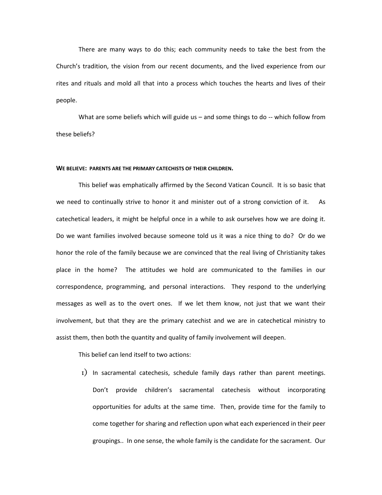There are many ways to do this; each community needs to take the best from the Church's tradition, the vision from our recent documents, and the lived experience from our rites and rituals and mold all that into a process which touches the hearts and lives of their people.

What are some beliefs which will guide us – and some things to do -- which follow from these beliefs?

## **WE BELIEVE: PARENTS ARE THE PRIMARY CATECHISTS OF THEIR CHILDREN.**

This belief was emphatically affirmed by the Second Vatican Council. It is so basic that we need to continually strive to honor it and minister out of a strong conviction of it. As catechetical leaders, it might be helpful once in a while to ask ourselves how we are doing it. Do we want families involved because someone told us it was a nice thing to do? Or do we honor the role of the family because we are convinced that the real living of Christianity takes place in the home? The attitudes we hold are communicated to the families in our correspondence, programming, and personal interactions. They respond to the underlying messages as well as to the overt ones. If we let them know, not just that we want their involvement, but that they are the primary catechist and we are in catechetical ministry to assist them, then both the quantity and quality of family involvement will deepen.

This belief can lend itself to two actions:

1) In sacramental catechesis, schedule family days rather than parent meetings. Don't provide children's sacramental catechesis without incorporating opportunities for adults at the same time. Then, provide time for the family to come together for sharing and reflection upon what each experienced in their peer groupings.. In one sense, the whole family is the candidate for the sacrament. Our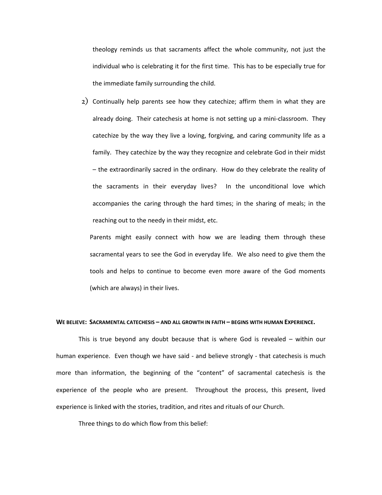theology reminds us that sacraments affect the whole community, not just the individual who is celebrating it for the first time. This has to be especially true for the immediate family surrounding the child.

2) Continually help parents see how they catechize; affirm them in what they are already doing. Their catechesis at home is not setting up a mini-classroom. They catechize by the way they live a loving, forgiving, and caring community life as a family. They catechize by the way they recognize and celebrate God in their midst – the extraordinarily sacred in the ordinary. How do they celebrate the reality of the sacraments in their everyday lives? In the unconditional love which accompanies the caring through the hard times; in the sharing of meals; in the reaching out to the needy in their midst, etc.

Parents might easily connect with how we are leading them through these sacramental years to see the God in everyday life. We also need to give them the tools and helps to continue to become even more aware of the God moments (which are always) in their lives.

### **WE BELIEVE: SACRAMENTAL CATECHESIS – AND ALL GROWTH IN FAITH – BEGINS WITH HUMAN EXPERIENCE.**

This is true beyond any doubt because that is where God is revealed – within our human experience. Even though we have said - and believe strongly - that catechesis is much more than information, the beginning of the "content" of sacramental catechesis is the experience of the people who are present. Throughout the process, this present, lived experience is linked with the stories, tradition, and rites and rituals of our Church.

Three things to do which flow from this belief: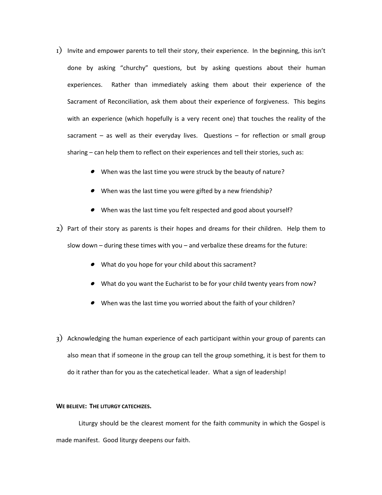- 1) Invite and empower parents to tell their story, their experience. In the beginning, this isn't done by asking "churchy" questions, but by asking questions about their human experiences. Rather than immediately asking them about their experience of the Sacrament of Reconciliation, ask them about their experience of forgiveness. This begins with an experience (which hopefully is a very recent one) that touches the reality of the sacrament – as well as their everyday lives. Questions – for reflection or small group sharing – can help them to reflect on their experiences and tell their stories, such as:
	- When was the last time you were struck by the beauty of nature?
	- When was the last time you were gifted by a new friendship?
	- When was the last time you felt respected and good about yourself?

2) Part of their story as parents is their hopes and dreams for their children. Help them to slow down – during these times with you – and verbalize these dreams for the future:

- What do you hope for your child about this sacrament?
- What do you want the Eucharist to be for your child twenty years from now?
- When was the last time you worried about the faith of your children?
- 3) Acknowledging the human experience of each participant within your group of parents can also mean that if someone in the group can tell the group something, it is best for them to do it rather than for you as the catechetical leader. What a sign of leadership!

# **WE BELIEVE: THE LITURGY CATECHIZES.**

Liturgy should be the clearest moment for the faith community in which the Gospel is made manifest. Good liturgy deepens our faith.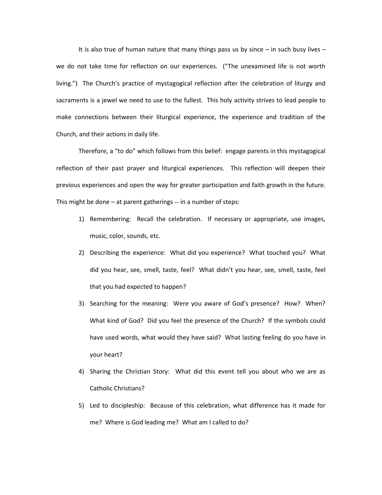It is also true of human nature that many things pass us by since  $-$  in such busy lives  $$ we do not take time for reflection on our experiences. ("The unexamined life is not worth living.") The Church's practice of mystagogical reflection after the celebration of liturgy and sacraments is a jewel we need to use to the fullest. This holy activity strives to lead people to make connections between their liturgical experience, the experience and tradition of the Church, and their actions in daily life.

Therefore, a "to do" which follows from this belief: engage parents in this mystagogical reflection of their past prayer and liturgical experiences. This reflection will deepen their previous experiences and open the way for greater participation and faith growth in the future. This might be done – at parent gatherings -- in a number of steps:

- 1) Remembering: Recall the celebration. If necessary or appropriate, use images, music, color, sounds, etc.
- 2) Describing the experience: What did you experience? What touched you? What did you hear, see, smell, taste, feel? What didn't you hear, see, smell, taste, feel that you had expected to happen?
- 3) Searching for the meaning: Were you aware of God's presence? How? When? What kind of God? Did you feel the presence of the Church? If the symbols could have used words, what would they have said? What lasting feeling do you have in your heart?
- 4) Sharing the Christian Story: What did this event tell you about who we are as Catholic Christians?
- 5) Led to discipleship: Because of this celebration, what difference has it made for me? Where is God leading me? What am I called to do?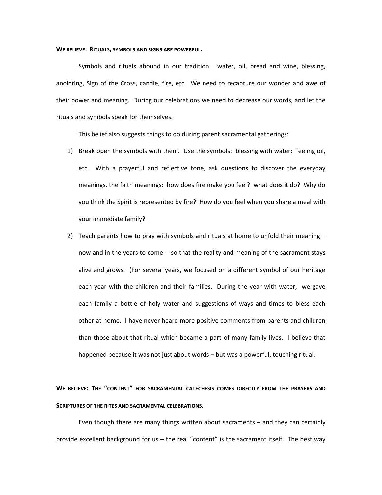#### **WE BELIEVE: RITUALS, SYMBOLS AND SIGNS ARE POWERFUL.**

Symbols and rituals abound in our tradition: water, oil, bread and wine, blessing, anointing, Sign of the Cross, candle, fire, etc. We need to recapture our wonder and awe of their power and meaning. During our celebrations we need to decrease our words, and let the rituals and symbols speak for themselves.

This belief also suggests things to do during parent sacramental gatherings:

- 1) Break open the symbols with them. Use the symbols: blessing with water; feeling oil, etc. With a prayerful and reflective tone, ask questions to discover the everyday meanings, the faith meanings: how does fire make you feel? what does it do? Why do you think the Spirit is represented by fire? How do you feel when you share a meal with your immediate family?
- 2) Teach parents how to pray with symbols and rituals at home to unfold their meaning now and in the years to come -- so that the reality and meaning of the sacrament stays alive and grows. (For several years, we focused on a different symbol of our heritage each year with the children and their families. During the year with water, we gave each family a bottle of holy water and suggestions of ways and times to bless each other at home. I have never heard more positive comments from parents and children than those about that ritual which became a part of many family lives. I believe that happened because it was not just about words – but was a powerful, touching ritual.

# **WE BELIEVE: THE "CONTENT" FOR SACRAMENTAL CATECHESIS COMES DIRECTLY FROM THE PRAYERS AND SCRIPTURES OF THE RITES AND SACRAMENTAL CELEBRATIONS.**

Even though there are many things written about sacraments – and they can certainly provide excellent background for us – the real "content" is the sacrament itself. The best way